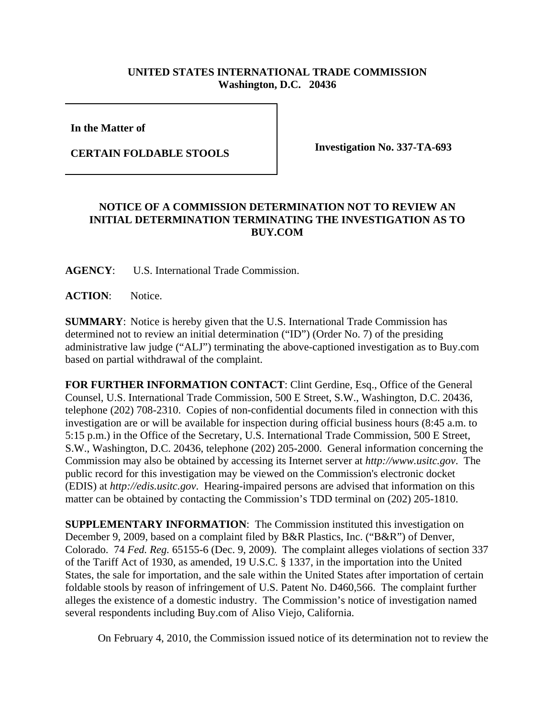## **UNITED STATES INTERNATIONAL TRADE COMMISSION Washington, D.C. 20436**

**In the Matter of** 

**CERTAIN FOLDABLE STOOLS Investigation No. 337-TA-693**

## **NOTICE OF A COMMISSION DETERMINATION NOT TO REVIEW AN INITIAL DETERMINATION TERMINATING THE INVESTIGATION AS TO BUY.COM**

**AGENCY**: U.S. International Trade Commission.

**ACTION**: Notice.

**SUMMARY**: Notice is hereby given that the U.S. International Trade Commission has determined not to review an initial determination ("ID") (Order No. 7) of the presiding administrative law judge ("ALJ") terminating the above-captioned investigation as to Buy.com based on partial withdrawal of the complaint.

**FOR FURTHER INFORMATION CONTACT**: Clint Gerdine, Esq., Office of the General Counsel, U.S. International Trade Commission, 500 E Street, S.W., Washington, D.C. 20436, telephone (202) 708-2310. Copies of non-confidential documents filed in connection with this investigation are or will be available for inspection during official business hours (8:45 a.m. to 5:15 p.m.) in the Office of the Secretary, U.S. International Trade Commission, 500 E Street, S.W., Washington, D.C. 20436, telephone (202) 205-2000. General information concerning the Commission may also be obtained by accessing its Internet server at *http://www.usitc.gov*. The public record for this investigation may be viewed on the Commission's electronic docket (EDIS) at *http://edis.usitc.gov*. Hearing-impaired persons are advised that information on this matter can be obtained by contacting the Commission's TDD terminal on (202) 205-1810.

**SUPPLEMENTARY INFORMATION**: The Commission instituted this investigation on December 9, 2009, based on a complaint filed by B&R Plastics, Inc. ("B&R") of Denver, Colorado. 74 *Fed. Reg.* 65155-6 (Dec. 9, 2009). The complaint alleges violations of section 337 of the Tariff Act of 1930, as amended, 19 U.S.C. § 1337, in the importation into the United States, the sale for importation, and the sale within the United States after importation of certain foldable stools by reason of infringement of U.S. Patent No. D460,566. The complaint further alleges the existence of a domestic industry. The Commission's notice of investigation named several respondents including Buy.com of Aliso Viejo, California.

On February 4, 2010, the Commission issued notice of its determination not to review the